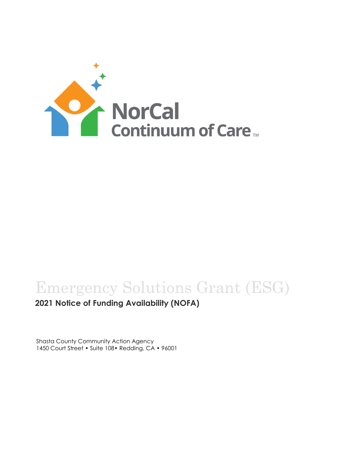

# Emergency Solutions Grant (ESG)

**2021 Notice of Funding Availability (NOFA)**

Shasta County Community Action Agency 1450 Court Street • Suite 108• Redding, CA • 96001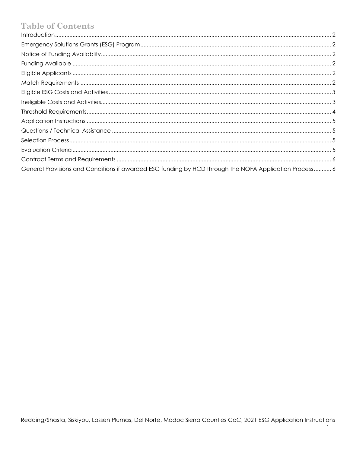## **Table of Contents**

| General Provisions and Conditions if awarded ESG funding by HCD through the NOFA Application Process 6 |  |
|--------------------------------------------------------------------------------------------------------|--|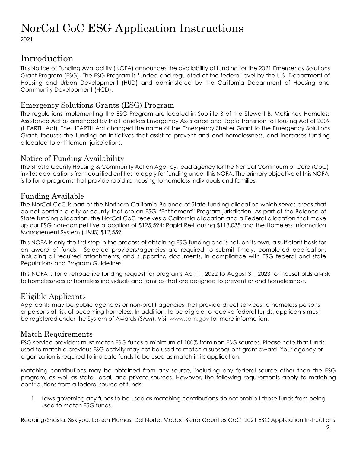## NorCal CoC ESG Application Instructions

2021

### <span id="page-2-0"></span>Introduction

This Notice of Funding Availability (NOFA) announces the availability of funding for the 2021 Emergency Solutions Grant Program (ESG). The ESG Program is funded and regulated at the federal level by the U.S. Department of Housing and Urban Development (HUD) and administered by the California Department of Housing and Community Development (HCD).

### <span id="page-2-1"></span>Emergency Solutions Grants (ESG) Program

The regulations implementing the ESG Program are located in Subtitle B of the Stewart B. McKinney Homeless Assistance Act as amended by the Homeless Emergency Assistance and Rapid Transition to Housing Act of 2009 (HEARTH Act). The HEARTH Act changed the name of the Emergency Shelter Grant to the Emergency Solutions Grant, focuses the funding on initiatives that assist to prevent and end homelessness, and increases funding allocated to entitlement jurisdictions.

### Notice of Funding Availability

The Shasta County Housing & Community Action Agency, lead agency for the Nor Cal Continuum of Care (CoC) invites applications from qualified entities to apply for funding under this NOFA. The primary objective of this NOFA is to fund programs that provide rapid re-housing to homeless individuals and families.

### <span id="page-2-2"></span>Funding Available

The NorCal CoC is part of the Northern California Balance of State funding allocation which serves areas that do not contain a city or county that are an ESG "Entitlement" Program jurisdiction. As part of the Balance of State funding allocation, the NorCal CoC receives a California allocation and a Federal allocation that make up our ESG non-competitive allocation of \$125,594; Rapid Re-Housing \$113,035 and the Homeless Information Management System (HMIS) \$12,559.

This NOFA is only the first step in the process of obtaining ESG funding and is not, on its own, a sufficient basis for an award of funds. Selected providers/agencies are required to submit timely, completed application, including all required attachments, and supporting documents, in compliance with ESG federal and state Regulations and Program Guidelines.

This NOFA is for a retroactive funding request for programs April 1, 2022 to August 31, 2023 for households at-risk to homelessness or homeless individuals and families that are designed to prevent or end homelessness.

### <span id="page-2-3"></span>Eligible Applicants

Applicants may be public agencies or non-profit agencies that provide direct services to homeless persons or persons at-risk of becoming homeless. In addition, to be eligible to receive federal funds, applicants must be registered under the System of Awards (SAM). Visit www.sam.gov for more information.

### <span id="page-2-4"></span>Match Requirements

ESG service providers must match ESG funds a minimum of 100% from non-ESG sources. Please note that funds used to match a previous ESG activity may not be used to match a subsequent grant award. Your agency or organization is required to indicate funds to be used as match in its application.

Matching contributions may be obtained from any source, including any federal source other than the ESG program, as well as state, local, and private sources. However, the following requirements apply to matching contributions from a federal source of funds:

1. Laws governing any funds to be used as matching contributions do not prohibit those funds from being used to match ESG funds.

Redding/Shasta, Siskiyou, Lassen Plumas, Del Norte, Modoc Sierra Counties CoC, 2021 ESG Application Instructions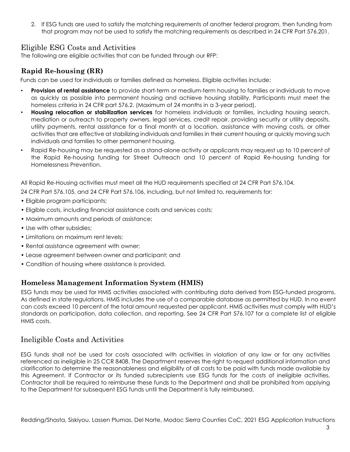2. If ESG funds are used to satisfy the matching requirements of another federal program, then funding from that program may not be used to satisfy the matching requirements as described in 24 CFR Part 576.201.

### Eligible ESG Costs and Activities

The following are eligible activities that can be funded through our RFP:

### <span id="page-3-0"></span>**Rapid Re-housing (RR)**

Funds can be used for individuals or families defined as homeless. Eligible activities include:

- **Provision of rental assistance** to provide short-term or medium-term housing to families or individuals to move as quickly as possible into permanent housing and achieve housing stability. Participants must meet the homeless criteria in 24 CFR part 576.2. (Maximum of 24 months in a 3-year period).
- **Housing relocation or stabilization services** for homeless individuals or families, including housing search, mediation or outreach to property owners, legal services, credit repair, providing security or utility deposits, utility payments, rental assistance for a final month at a location, assistance with moving costs, or other activities that are effective at stabilizing individuals and families in their current housing or quickly moving such individuals and families to other permanent housing.
- Rapid Re-housing may be requested as a stand-alone activity or applicants may request up to 10 percent of the Rapid Re-housing funding for Street Outreach and 10 percent of Rapid Re-housing funding for Homelessness Prevention.

All Rapid Re-Housing activities must meet all the HUD requirements specified at 24 CFR Part 576.104,

24 CFR Part 576.105, and 24 CFR Part 576.106, including, but not limited to, requirements for:

- Eligible program participants;
- Eligible costs, including financial assistance costs and services costs;
- Maximum amounts and periods of assistance;
- Use with other subsidies:
- Limitations on maximum rent levels;
- Rental assistance agreement with owner;
- Lease agreement between owner and participant; and
- Condition of housing where assistance is provided.

### **Homeless Management Information System (HMIS)**

ESG funds may be used for HMIS activities associated with contributing data derived from ESG-funded programs. As defined in state regulations, HMIS includes the use of a comparable database as permitted by HUD. In no event can costs exceed 10 percent of the total amount requested per applicant. HMIS activities must comply with HUD's standards on participation, data collection, and reporting. See 24 CFR Part 576.107 for a complete list of eligible HMIS costs.

### <span id="page-3-1"></span>Ineligible Costs and Activities

ESG funds shall not be used for costs associated with activities in violation of any law or for any activities referenced as ineligible in 25 CCR 8408. The Department reserves the right to request additional information and clarification to determine the reasonableness and eligibility of all costs to be paid with funds made available by this Agreement. If Contractor or its funded subrecipients use ESG funds for the costs of ineligible activities, Contractor shall be required to reimburse these funds to the Department and shall be prohibited from applying to the Department for subsequent ESG funds until the Department is fully reimbursed.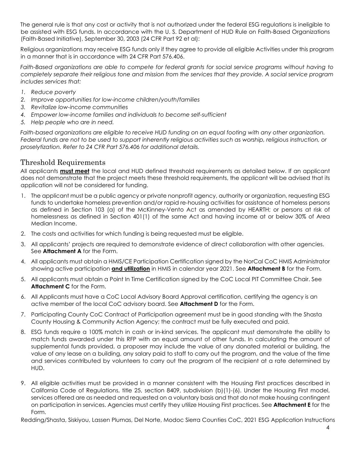The general rule is that any cost or activity that is not authorized under the federal ESG regulations is ineligible to be assisted with ESG funds. In accordance with the U. S. Department of HUD Rule on Faith-Based Organizations (Faith-Based Initiative), September 30, 2003 (24 CFR Part 92 et al):

Religious organizations may receive ESG funds only if they agree to provide all eligible Activities under this program in a manner that is in accordance with 24 CFR Part 576.406.

*Faith-Based organizations are able to compete for federal grants for social service programs without having to completely separate their religious tone and mission from the services that they provide. A social service program includes services that:* 

- *1. Reduce poverty*
- *2. Improve opportunities for low-income children/youth/families*
- *3. Revitalize low-income communities*
- *4. Empower low-income families and individuals to become self-sufficient*
- *5. Help people who are in need.*

Faith-based organizations are eligible to receive HUD funding on an equal footing with any other organization. *Federal funds are not to be used to support inherently religious activities such as worship, religious instruction, or proselytization. Refer to 24 CFR Part 576.406 for additional details.*

### <span id="page-4-0"></span>Threshold Requirements

All applicants **must meet** the local and HUD defined threshold requirements as detailed below. If an applicant does not demonstrate that the project meets these threshold requirements, the applicant will be advised that its application will not be considered for funding.

- 1. The applicant must be a public agency or private nonprofit agency, authority or organization, requesting ESG funds to undertake homeless prevention and/or rapid re-housing activities for assistance of homeless persons as defined in Section 103 (a) of the McKinney-Vento Act as amended by HEARTH; or persons at risk of homelessness as defined in Section 401(1) of the same Act and having income at or below 30% of Area Median Income.
- 2. The costs and activities for which funding is being requested must be eligible.
- 3. All applicants' projects are required to demonstrate evidence of direct collaboration with other agencies. See **Attachment A** for the Form.
- 4. All applicants must obtain a HMIS/CE Participation Certification signed by the NorCal CoC HMIS Administrator showing active participation **and utilization** in HMIS in calendar year 2021. See **Attachment B** for the Form.
- 5. All applicants must obtain a Point In Time Certification signed by the CoC Local PIT Committee Chair. See **Attachment C** for the Form.
- 6. All Applicants must have a CoC Local Advisory Board Approval certification, certifying the agency is an active member of the local CoC advisory board. See **Attachment D** for the Form.
- 7. Participating County CoC Contract of Participation agreement must be in good standing with the Shasta County Housing & Community Action Agency; the contract must be fully executed and paid.
- 8. ESG funds require a 100% match in cash or in-kind services. The applicant must demonstrate the ability to match funds awarded under this RFP with an equal amount of other funds. In calculating the amount of supplemental funds provided, a proposer may include the value of any donated material or building, the value of any lease on a building, any salary paid to staff to carry out the program, and the value of the time and services contributed by volunteers to carry out the program of the recipient at a rate determined by HUD.
- 9. All eligible activities must be provided in a manner consistent with the Housing First practices described in California Code of Regulations, title 25, section 8409, subdivision (b)(1)-(6). Under the Housing First model, services offered are as needed and requested on a voluntary basis and that do not make housing contingent on participation in services. Agencies must certify they utilize Housing First practices. See **Attachment E** for the Form.

Redding/Shasta, Siskiyou, Lassen Plumas, Del Norte, Modoc Sierra Counties CoC, 2021 ESG Application Instructions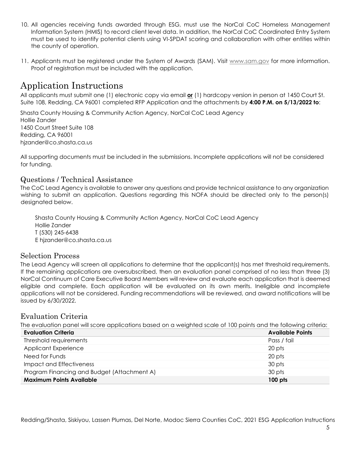- 10. All agencies receiving funds awarded through ESG, must use the NorCal CoC Homeless Management Information System (HMIS) to record client level data. In addition, the NorCal CoC Coordinated Entry System must be used to identify potential clients using VI-SPDAT scoring and collaboration with other entities within the county of operation.
- 11. Applicants must be registered under the System of Awards (SAM). Visit www.sam.gov for more information. Proof of registration must be included with the application.

### Application Instructions

All applicants must submit one (1) electronic copy via email **or** (1) hardcopy version in person at 1450 Court St. Suite 108, Redding, CA 96001 completed RFP Application and the attachments by **4:00 P.M. on 5/13/2022 to**:

Shasta County Housing & Community Action Agency, NorCal CoC Lead Agency Hollie Zander 1450 Court Street Suite 108 Redding, CA 96001 hjzander@co.shasta.ca.us

All supporting documents must be included in the submissions. Incomplete applications will not be considered for funding.

#### <span id="page-5-0"></span>Questions / Technical Assistance

The CoC Lead Agency is available to answer any questions and provide technical assistance to any organization wishing to submit an application. Questions regarding this NOFA should be directed only to the person(s) designated below.

Shasta County Housing & Community Action Agency, NorCal CoC Lead Agency Hollie Zander T (530) 245-6438 E hjzander@co.shasta.ca.us

#### <span id="page-5-1"></span>Selection Process

The Lead Agency will screen all applications to determine that the applicant(s) has met threshold requirements. If the remaining applications are oversubscribed, then an evaluation panel comprised of no less than three (3) NorCal Continuum of Care Executive Board Members will review and evaluate each application that is deemed eligible and complete. Each application will be evaluated on its own merits. Ineligible and incomplete applications will not be considered. Funding recommendations will be reviewed, and award notifications will be issued by 6/30/2022.

### <span id="page-5-2"></span>Evaluation Criteria

The evaluation panel will score applications based on a weighted scale of 100 points and the following criteria:

| <b>Evaluation Criteria</b>                  | <b>Available Points</b> |
|---------------------------------------------|-------------------------|
| Threshold requirements                      | Pass / fail             |
| Applicant Experience                        | 20 pts                  |
| Need for Funds                              | 20 pts                  |
| <b>Impact and Effectiveness</b>             | 30 pts                  |
| Program Financing and Budget (Attachment A) | 30 pts                  |
| <b>Maximum Points Available</b>             | 100 pts                 |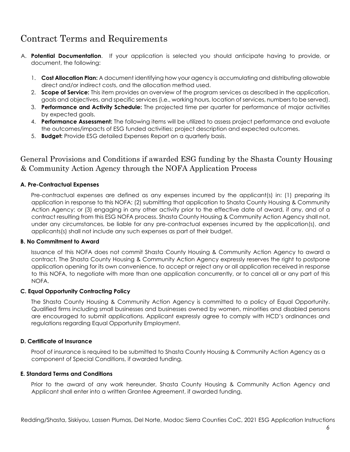### Contract Terms and Requirements

- A. **Potential Documentation**. If your application is selected you should anticipate having to provide, or document, the following:
	- 1. **Cost Allocation Plan:** A document identifying how your agency is accumulating and distributing allowable direct and/or indirect costs, and the allocation method used.
	- 2. **Scope of Service:** This item provides an overview of the program services as described in the application, goals and objectives, and specific services (i.e., working hours, location of services, numbers to be served).
	- 3. **Performance and Activity Schedule:** The projected time per quarter for performance of major activities by expected goals.
	- 4. **Performance Assessment:** The following items will be utilized to assess project performance and evaluate the outcomes/impacts of ESG funded activities: project description and expected outcomes.
	- 5. **Budget:** Provide ESG detailed Expenses Report on a quarterly basis.

### <span id="page-6-0"></span>General Provisions and Conditions if awarded ESG funding by the Shasta County Housing & Community Action Agency through the NOFA Application Process

#### **A. Pre-Contractual Expenses**

Pre-contractual expenses are defined as any expenses incurred by the applicant(s) in: (1) preparing its application in response to this NOFA; (2) submitting that application to Shasta County Housing & Community Action Agency; or (3) engaging in any other activity prior to the effective date of award, if any, and of a contract resulting from this ESG NOFA process. Shasta County Housing & Community Action Agency shall not, under any circumstances, be liable for any pre-contractual expenses incurred by the application(s), and applicants(s) shall not include any such expenses as part of their budget.

#### **B. No Commitment to Award**

Issuance of this NOFA does not commit Shasta County Housing & Community Action Agency to award a contract. The Shasta County Housing & Community Action Agency expressly reserves the right to postpone application opening for its own convenience, to accept or reject any or all application received in response to this NOFA, to negotiate with more than one application concurrently, or to cancel all or any part of this NOFA.

#### **C. Equal Opportunity Contracting Policy**

The Shasta County Housing & Community Action Agency is committed to a policy of Equal Opportunity. Qualified firms including small businesses and businesses owned by women, minorities and disabled persons are encouraged to submit applications. Applicant expressly agree to comply with HCD's ordinances and regulations regarding Equal Opportunity Employment.

#### **D. Certificate of Insurance**

Proof of insurance is required to be submitted to Shasta County Housing & Community Action Agency as a component of Special Conditions, if awarded funding.

#### **E. Standard Terms and Conditions**

Prior to the award of any work hereunder, Shasta County Housing & Community Action Agency and Applicant shall enter into a written Grantee Agreement, if awarded funding.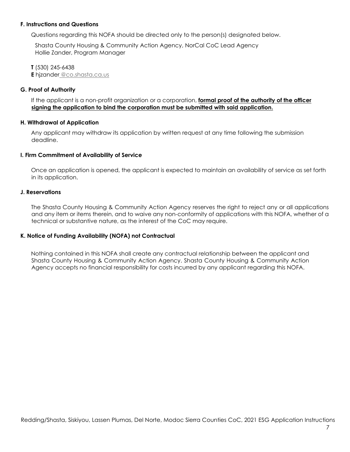#### **F. Instructions and Questions**

Questions regarding this NOFA should be directed only to the person(s) designated below.

Shasta County Housing & Community Action Agency, NorCal CoC Lead Agency Hollie Zander, Program Manager

**T** (530) 245-6438 **E** hjzander @co.shasta.ca.us

#### **G. Proof of Authority**

If the applicant is a non-profit organization or a corporation, **formal proof of the authority of the officer signing the application to bind the corporation must be submitted with said application.**

#### **H. Withdrawal of Application**

Any applicant may withdraw its application by written request at any time following the submission deadline.

#### **I. Firm Commitment of Availability of Service**

Once an application is opened, the applicant is expected to maintain an availability of service as set forth in its application.

#### **J. Reservations**

The Shasta County Housing & Community Action Agency reserves the right to reject any or all applications and any item or items therein, and to waive any non-conformity of applications with this NOFA, whether of a technical or substantive nature, as the interest of the CoC may require.

#### **K. Notice of Funding Availability (NOFA) not Contractual**

Nothing contained in this NOFA shall create any contractual relationship between the applicant and Shasta County Housing & Community Action Agency. Shasta County Housing & Community Action Agency accepts no financial responsibility for costs incurred by any applicant regarding this NOFA.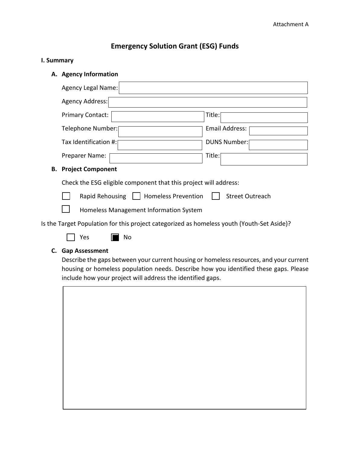### **Emergency Solution Grant (ESG) Funds**

#### **I. Summary**

**A. Agency Information**

|                                                                                            | Agency Legal Name:      |                     |
|--------------------------------------------------------------------------------------------|-------------------------|---------------------|
|                                                                                            | Agency Address:         |                     |
|                                                                                            | <b>Primary Contact:</b> | Title:              |
|                                                                                            | Telephone Number:       | Email Address:      |
|                                                                                            | Tax Identification #:   | <b>DUNS Number:</b> |
|                                                                                            | Preparer Name:          | Title:              |
| <b>Project Component</b><br>В.                                                             |                         |                     |
| Check the ESG eligible component that this project will address:                           |                         |                     |
| <b>Homeless Prevention</b><br><b>Street Outreach</b><br>Rapid Rehousing                    |                         |                     |
| Homeless Management Information System                                                     |                         |                     |
| Is the Target Population for this project categorized as homeless youth (Youth-Set Aside)? |                         |                     |
|                                                                                            | Yes<br>No               |                     |

#### **C. Gap Assessment**

Describe the gaps between your current housing or homeless resources, and your current housing or homeless population needs. Describe how you identified these gaps. Please include how your project will address the identified gaps.

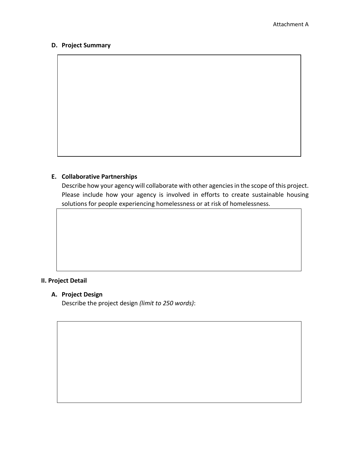#### **D. Project Summary**

#### **E. Collaborative Partnerships**

Describe how your agency will collaborate with other agencies in the scope of this project. Please include how your agency is involved in efforts to create sustainable housing solutions for people experiencing homelessness or at risk of homelessness.

#### **II. Project Detail**

#### **A. Project Design**

Describe the project design *(limit to 250 words)*: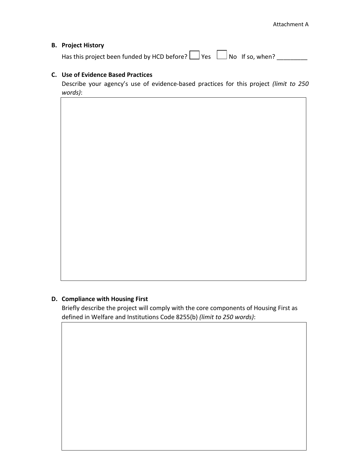#### **B. Project History**

Has this project been funded by HCD before?  $\Box$  Yes  $\Box$  No If so, when?  $\Box$ 

#### **C. Use of Evidence Based Practices**

Describe your agency's use of evidence-based practices for this project *(limit to 250 words)*:

#### **D. Compliance with Housing First**

Briefly describe the project will comply with the core components of Housing First as defined in Welfare and Institutions Code 8255(b) *(limit to 250 words)*: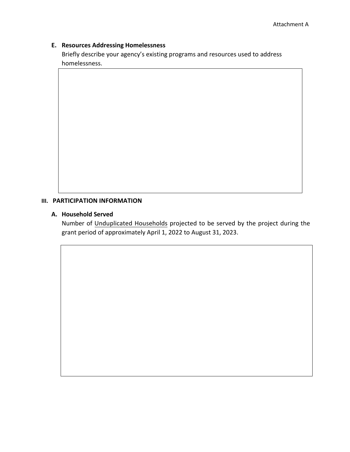#### **E. Resources Addressing Homelessness**

Briefly describe your agency's existing programs and resources used to address homelessness.

#### **III. PARTICIPATION INFORMATION**

#### **A. Household Served**

Number of Unduplicated Households projected to be served by the project during the grant period of approximately April 1, 2022 to August 31, 2023.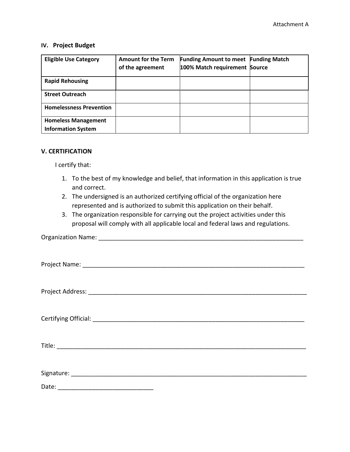#### **IV. Project Budget**

| <b>Eligible Use Category</b>                            | <b>Amount for the Term</b><br>of the agreement | <b>Funding Amount to meet Funding Match</b><br>100% Match requirement Source |  |
|---------------------------------------------------------|------------------------------------------------|------------------------------------------------------------------------------|--|
| <b>Rapid Rehousing</b>                                  |                                                |                                                                              |  |
| <b>Street Outreach</b>                                  |                                                |                                                                              |  |
| <b>Homelessness Prevention</b>                          |                                                |                                                                              |  |
| <b>Homeless Management</b><br><b>Information System</b> |                                                |                                                                              |  |

#### **V. CERTIFICATION**

I certify that:

- 1. To the best of my knowledge and belief, that information in this application is true and correct.
- 2. The undersigned is an authorized certifying official of the organization here represented and is authorized to submit this application on their behalf.
- 3. The organization responsible for carrying out the project activities under this proposal will comply with all applicable local and federal laws and regulations.

#### Organization Name: \_\_\_\_\_\_\_\_\_\_\_\_\_\_\_\_\_\_\_\_\_\_\_\_\_\_\_\_\_\_\_\_\_\_\_\_\_\_\_\_\_\_\_\_\_\_\_\_\_\_\_\_\_\_\_\_\_\_\_\_

| Date: |  |
|-------|--|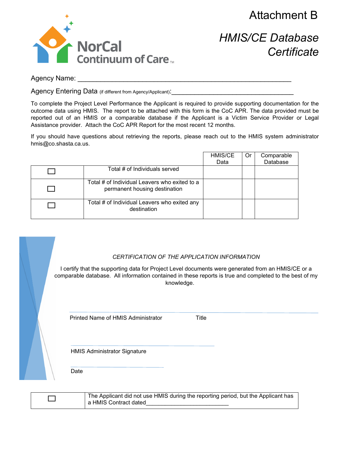Attachment B



*HMIS/CE Database Certificate*

Agency Name:

Agency Entering Data (if different from Agency/Applicant):

To complete the Project Level Performance the Applicant is required to provide supporting documentation for the outcome data using HMIS. The report to be attached with this form is the CoC APR. The data provided must be reported out of an HMIS or a comparable database if the Applicant is a Victim Service Provider or Legal Assistance provider. Attach the CoC APR Report for the most recent 12 months.

If you should have questions about retrieving the reports, please reach out to the HMIS system administrator hmis@co.shasta.ca.us.

|                                                                                | HMIS/CE | Or | Comparable |
|--------------------------------------------------------------------------------|---------|----|------------|
|                                                                                | Data    |    | Database   |
| Total # of Individuals served                                                  |         |    |            |
| Total # of Individual Leavers who exited to a<br>permanent housing destination |         |    |            |
| Total # of Individual Leavers who exited any<br>destination                    |         |    |            |

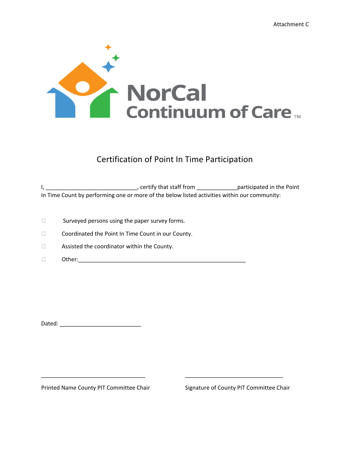

### Certification of Point In Time Participation

I, \_\_\_\_\_\_\_\_\_\_\_\_\_\_\_\_\_\_\_\_\_\_\_\_\_\_\_\_\_\_\_\_\_\_, certify that staff from \_\_\_\_\_\_\_\_\_\_\_\_\_\_\_\_\_\_participated in the Point In Time Count by performing one or more of the below listed activities within our community:

- $\Box$ Surveyed persons using the paper survey forms.
- $\Box$ Coordinated the Point In Time Count in our County.
- $\Box$ Assisted the coordinator within the County.
- $\Box$ Other:\_\_\_\_\_\_\_\_\_\_\_\_\_\_\_\_\_\_\_\_\_\_\_\_\_\_\_\_\_\_\_\_\_\_\_\_\_\_\_\_\_\_\_\_\_\_\_\_\_\_\_\_\_

Dated:  $\Box$ 

Printed Name County PIT Committee Chair

\_\_\_\_\_\_\_\_\_\_\_\_\_\_\_\_\_\_\_\_\_\_\_\_\_\_\_\_\_\_\_\_\_

Signature of County PIT Committee Chair

\_\_\_\_\_\_\_\_\_\_\_\_\_\_\_\_\_\_\_\_\_\_\_\_\_\_\_\_\_\_\_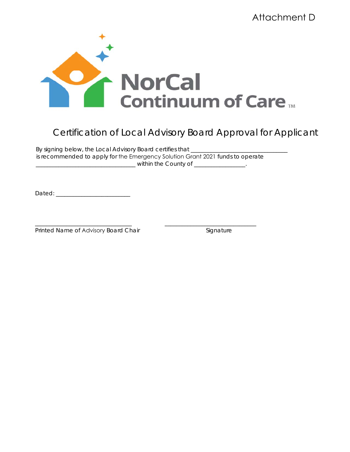

By signing below, the Local Advisory Board certifies that \_\_\_\_\_\_\_\_ is recommended to apply for the Emergency Solution Grant 2021 funds to operate \_\_\_\_\_\_\_\_\_\_\_\_\_\_\_\_\_\_\_\_\_\_\_\_\_\_\_\_\_\_\_\_\_\_\_ within the County of \_\_\_\_\_\_\_\_\_\_\_\_\_\_\_\_\_\_.

\_\_\_\_\_\_\_\_\_\_\_\_\_\_\_\_\_\_\_\_\_\_\_\_\_\_\_\_\_\_\_\_\_\_ \_\_\_\_\_\_\_\_\_\_\_\_\_\_\_\_\_\_\_\_\_\_\_\_\_\_\_\_\_\_\_\_

Dated: \_\_\_\_\_\_\_\_\_\_\_\_\_\_\_\_\_\_\_\_\_\_\_\_\_\_

Printed Name of Advisory Board Chair **Standard Chair** Signature